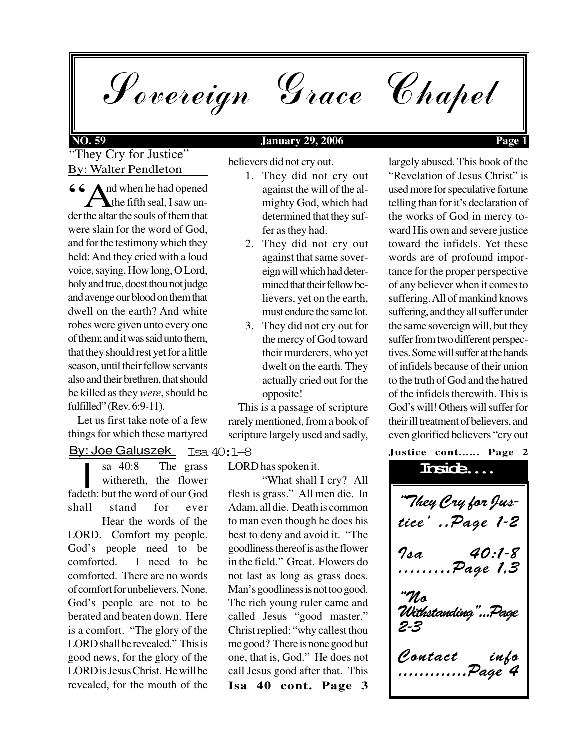Sovereign Grace Chapel

# **NO. 59 January 29, 2006 Page 1**

"They Cry for Justice" By: Walter Pendleton

66 And when he had opened<br>the fifth seal, I saw under the altar the souls of them that the fifth seal, I saw under the altar the souls of them that were slain for the word of God, and for the testimony which they held: And they cried with a loud voice, saying, How long, O Lord, holy and true, doest thou not judge and avenge our blood on them that dwell on the earth? And white robes were given unto every one of them; and it was said unto them, that they should rest yet for a little season, until their fellow servants also and their brethren, that should be killed as they *were*, should be fulfilled" (Rev. 6:9-11).

 Let us first take note of a few things for which these martyred

By: Joe Galuszek

sa 40:8 The grass<br>withereth, the flower<br>fadeth: but the word of our God sa 40:8 The grass withereth, the flower shall stand for ever

Hear the words of the LORD. Comfort my people. God's people need to be comforted. I need to be comforted. There are no words of comfort for unbelievers. None. God's people are not to be berated and beaten down. Here is a comfort. "The glory of the LORD shall be revealed." This is good news, for the glory of the LORD is Jesus Christ. He will be revealed, for the mouth of the

believers did not cry out.

- 1. They did not cry out against the will of the almighty God, which had determined that they suffer as they had.
- 2. They did not cry out against that same sovereign will which had determined that their fellow believers, yet on the earth, must endure the same lot.
- 3. They did not cry out for the mercy of God toward their murderers, who yet dwelt on the earth. They actually cried out for the opposite!

 This is a passage of scripture rarely mentioned, from a book of scripture largely used and sadly,

Isa 40:1-8

LORD has spoken it.

**Isa 40 cont. Page 3** "What shall I cry? All flesh is grass." All men die. In Adam, all die. Death is common to man even though he does his best to deny and avoid it. "The goodliness thereof is as the flower in the field." Great. Flowers do not last as long as grass does. Man's goodliness is not too good. The rich young ruler came and called Jesus "good master." Christ replied: "why callest thou me good? There is none good but one, that is, God." He does not call Jesus good after that. This

largely abused. This book of the "Revelation of Jesus Christ" is used more for speculative fortune telling than for it's declaration of the works of God in mercy toward His own and severe justice toward the infidels. Yet these words are of profound importance for the proper perspective of any believer when it comes to suffering. All of mankind knows suffering, and they all suffer under the same sovereign will, but they suffer from two different perspectives. Some will suffer at the hands of infidels because of their union to the truth of God and the hatred of the infidels therewith. This is God's will! Others will suffer for their ill treatment of believers, and even glorified believers "cry out

## **Justice cont...... Page 2**

"They Cry for Justice' ..Page 1-2 Isa 40:1-8 ..Page 1.3 "No Withstanding"...Page 2-3 Contact .............Page 4 **Inside....**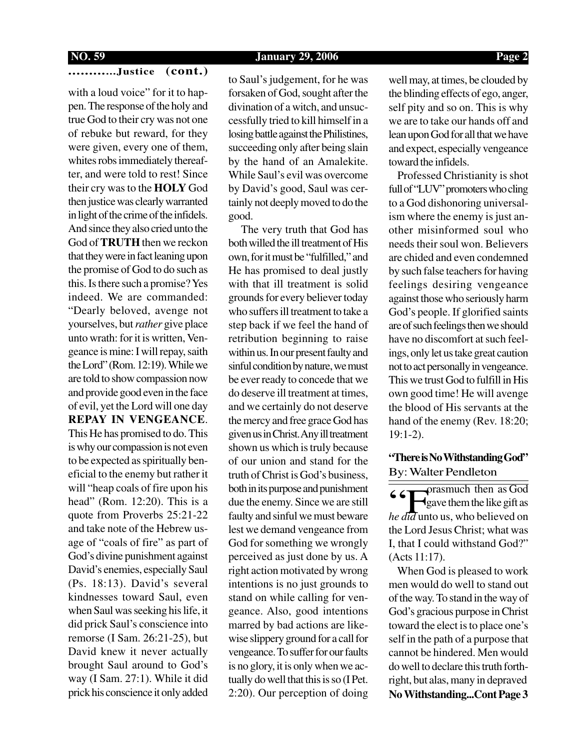### **NO. 59 January 29, 2006 Page 2**

# **............Justice (cont.)**

with a loud voice" for it to happen. The response of the holy and true God to their cry was not one of rebuke but reward, for they were given, every one of them, whites robs immediately thereafter, and were told to rest! Since their cry was to the **HOLY** God then justice was clearly warranted in light of the crime of the infidels. And since they also cried unto the God of **TRUTH** then we reckon that they were in fact leaning upon the promise of God to do such as this. Is there such a promise? Yes indeed. We are commanded: "Dearly beloved, avenge not yourselves, but *rather* give place unto wrath: for it is written, Vengeance is mine: I will repay, saith the Lord" (Rom. 12:19). While we are told to show compassion now and provide good even in the face of evil, yet the Lord will one day **REPAY IN VENGEANCE**. This He has promised to do. This is why our compassion is not even to be expected as spiritually beneficial to the enemy but rather it will "heap coals of fire upon his head" (Rom. 12:20). This is a quote from Proverbs 25:21-22 and take note of the Hebrew usage of "coals of fire" as part of God's divine punishment against David's enemies, especially Saul (Ps. 18:13). David's several kindnesses toward Saul, even when Saul was seeking his life, it did prick Saul's conscience into remorse (I Sam. 26:21-25), but David knew it never actually brought Saul around to God's way (I Sam. 27:1). While it did prick his conscience it only added to Saul's judgement, for he was forsaken of God, sought after the divination of a witch, and unsuccessfully tried to kill himself in a losing battle against the Philistines, succeeding only after being slain by the hand of an Amalekite. While Saul's evil was overcome by David's good, Saul was certainly not deeply moved to do the good.

 The very truth that God has both willed the ill treatment of His own, for it must be "fulfilled," and He has promised to deal justly with that ill treatment is solid grounds for every believer today who suffers ill treatment to take a step back if we feel the hand of retribution beginning to raise within us. In our present faulty and sinful condition by nature, we must be ever ready to concede that we do deserve ill treatment at times, and we certainly do not deserve the mercy and free grace God has given us in Christ. Any ill treatment shown us which is truly because of our union and stand for the truth of Christ is God's business, both in its purpose and punishment due the enemy. Since we are still faulty and sinful we must beware lest we demand vengeance from God for something we wrongly perceived as just done by us. A right action motivated by wrong intentions is no just grounds to stand on while calling for vengeance. Also, good intentions marred by bad actions are likewise slippery ground for a call for vengeance. To suffer for our faults is no glory, it is only when we actually do well that this is so (I Pet. 2:20). Our perception of doing well may, at times, be clouded by the blinding effects of ego, anger, self pity and so on. This is why we are to take our hands off and lean upon God for all that we have and expect, especially vengeance toward the infidels.

 Professed Christianity is shot full of "LUV" promoters who cling to a God dishonoring universalism where the enemy is just another misinformed soul who needs their soul won. Believers are chided and even condemned by such false teachers for having feelings desiring vengeance against those who seriously harm God's people. If glorified saints are of such feelings then we should have no discomfort at such feelings, only let us take great caution not to act personally in vengeance. This we trust God to fulfill in His own good time! He will avenge the blood of His servants at the hand of the enemy (Rev. 18:20; 19:1-2).

# By: Walter Pendleton **"There is No Withstanding God"**

"F orasmuch then as God gave them the like gift as *he did* unto us, who believed on the Lord Jesus Christ; what was I, that I could withstand God?" (Acts 11:17).

 When God is pleased to work men would do well to stand out of the way. To stand in the way of God's gracious purpose in Christ toward the elect is to place one's self in the path of a purpose that cannot be hindered. Men would do well to declare this truth forthright, but alas, many in depraved **No Withstanding...Cont Page 3**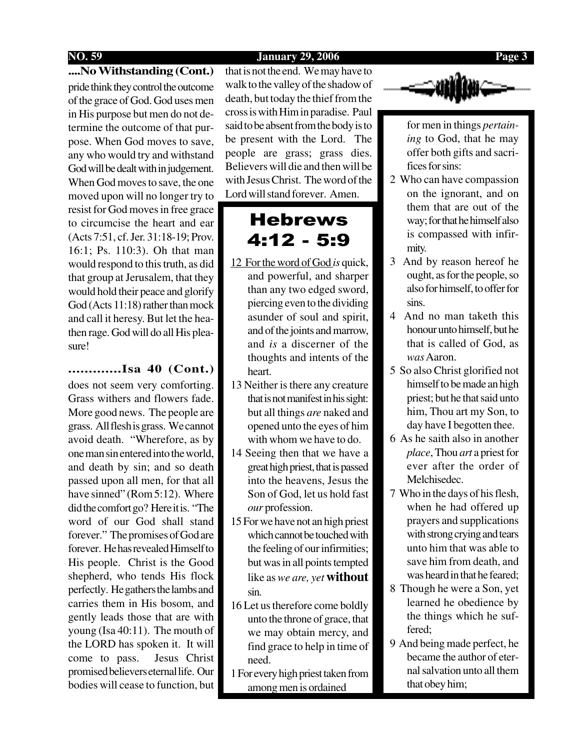### **NO. 59 January 29, 2006 Page 3**

### **....No Withstanding (Cont.)**

pride think they control the outcome of the grace of God. God uses men in His purpose but men do not determine the outcome of that purpose. When God moves to save, any who would try and withstand God will be dealt with in judgement. When God moves to save, the one moved upon will no longer try to resist for God moves in free grace to circumcise the heart and ear (Acts 7:51, cf. Jer. 31:18-19; Prov. 16:1; Ps. 110:3). Oh that man would respond to this truth, as did that group at Jerusalem, that they would hold their peace and glorify God (Acts 11:18) rather than mock and call it heresy. But let the heathen rage. God will do all His pleasure!

# **.............Isa 40 (Cont.)**

does not seem very comforting. Grass withers and flowers fade. More good news. The people are grass. All flesh is grass. We cannot avoid death. "Wherefore, as by one man sin entered into the world, and death by sin; and so death passed upon all men, for that all have sinned" (Rom 5:12). Where did the comfort go? Here it is. "The word of our God shall stand forever." The promises of God are forever. He has revealed Himself to His people. Christ is the Good shepherd, who tends His flock perfectly. He gathers the lambs and carries them in His bosom, and gently leads those that are with young (Isa 40:11). The mouth of the LORD has spoken it. It will come to pass. Jesus Christ promised believers eternal life. Our bodies will cease to function, but

that is not the end. We may have to walk to the valley of the shadow of death, but today the thief from the cross is with Him in paradise. Paul said to be absent from the body is to be present with the Lord. The people are grass; grass dies. Believers will die and then will be with Jesus Christ. The word of the Lord will stand forever. Amen.

# Hebrews 4:12 - 5:9

- 12 For the word of God *is* quick, and powerful, and sharper than any two edged sword, piercing even to the dividing asunder of soul and spirit, and of the joints and marrow, and *is* a discerner of the thoughts and intents of the heart.
- 13 Neither is there any creature that is not manifest in his sight: but all things *are* naked and opened unto the eyes of him with whom we have to do.
- 14 Seeing then that we have a great high priest, that is passed into the heavens, Jesus the Son of God, let us hold fast *our* profession.
- 15 For we have not an high priest which cannot be touched with the feeling of our infirmities; but was in all points tempted like as *we are, yet* **without** sin.
- 16 Let us therefore come boldly unto the throne of grace, that we may obtain mercy, and find grace to help in time of need.
- 1 For every high priest taken from among men is ordained



for men in things *pertaining* to God, that he may offer both gifts and sacrifices for sins:

- 2 Who can have compassion on the ignorant, and on them that are out of the way; for that he himself also is compassed with infirmity.
- 3 And by reason hereof he ought, as for the people, so also for himself, to offer for sins.
- 4 And no man taketh this honour unto himself, but he that is called of God, as *was*Aaron.
- 5 So also Christ glorified not himself to be made an high priest; but he that said unto him, Thou art my Son, to day have I begotten thee.
- 6 As he saith also in another *place*, Thou *art* a priest for ever after the order of Melchisedec.
- 7 Who in the days of his flesh, when he had offered up prayers and supplications with strong crying and tears unto him that was able to save him from death, and was heard in that he feared;
- 8 Though he were a Son, yet learned he obedience by the things which he suffered;
- 9 And being made perfect, he became the author of eternal salvation unto all them that obey him;